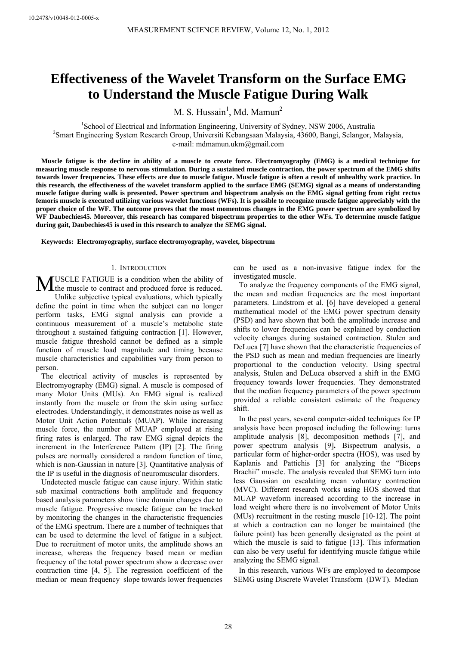# **Effectiveness of the Wavelet Transform on the Surface EMG to Understand the Muscle Fatigue During Walk**

M. S. Hussain<sup>1</sup>, Md. Mamun<sup>2</sup>

<sup>1</sup>School of Electrical and Information Engineering, University of Sydney, NSW 2006, Australia<br><sup>2</sup>Smort Engineering System Bessereb Group University Kebangseen Malaysia 43600, Bangi, Selangar, N Smart Engineering System Research Group, Universiti Kebangsaan Malaysia, 43600, Bangi, Selangor, Malaysia, e-mail: mdmamun.ukm@gmail.com

**Muscle fatigue is the decline in ability of a muscle to create force. Electromyography (EMG) is a medical technique for measuring muscle response to nervous stimulation. During a sustained muscle contraction, the power spectrum of the EMG shifts towards lower frequencies. These effects are due to muscle fatigue. Muscle fatigue is often a result of unhealthy work practice. In this research, the effectiveness of the wavelet transform applied to the surface EMG (SEMG) signal as a means of understanding muscle fatigue during walk is presented. Power spectrum and bispectrum analysis on the EMG signal getting from right rectus femoris muscle is executed utilizing various wavelet functions (WFs). It is possible to recognize muscle fatigue appreciably with the proper choice of the WF. The outcome proves that the most momentous changes in the EMG power spectrum are symbolized by WF Daubechies45. Moreover, this research has compared bispectrum properties to the other WFs. To determine muscle fatigue during gait, Daubechies45 is used in this research to analyze the SEMG signal.** 

**Keywords: Electromyography, surface electromyography, wavelet, bispectrum** 

## 1. INTRODUCTION

USCLE FATIGUE is a condition when the ability of **MUSCLE FATIGUE** is a condition when the ability of the muscle to contract and produced force is reduced.

Unlike subjective typical evaluations, which typically define the point in time when the subject can no longer perform tasks, EMG signal analysis can provide a continuous measurement of a muscle's metabolic state throughout a sustained fatiguing contraction [1]. However, muscle fatigue threshold cannot be defined as a simple function of muscle load magnitude and timing because muscle characteristics and capabilities vary from person to person.

The electrical activity of muscles is represented by Electromyography (EMG) signal. A muscle is composed of many Motor Units (MUs). An EMG signal is realized instantly from the muscle or from the skin using surface electrodes. Understandingly, it demonstrates noise as well as Motor Unit Action Potentials (MUAP). While increasing muscle force, the number of MUAP employed at rising firing rates is enlarged. The raw EMG signal depicts the increment in the Interference Pattern (IP) [2]. The firing pulses are normally considered a random function of time, which is non-Gaussian in nature [3]. Quantitative analysis of the IP is useful in the diagnosis of neuromuscular disorders.

Undetected muscle fatigue can cause injury. Within static sub maximal contractions both amplitude and frequency based analysis parameters show time domain changes due to muscle fatigue. Progressive muscle fatigue can be tracked by monitoring the changes in the characteristic frequencies of the EMG spectrum. There are a number of techniques that can be used to determine the level of fatigue in a subject. Due to recruitment of motor units, the amplitude shows an increase, whereas the frequency based mean or median frequency of the total power spectrum show a decrease over contraction time [4, 5]. The regression coefficient of the median or mean frequency slope towards lower frequencies

can be used as a non-invasive fatigue index for the investigated muscle.

To analyze the frequency components of the EMG signal, the mean and median frequencies are the most important parameters. Lindstrom et al. [6] have developed a general mathematical model of the EMG power spectrum density (PSD) and have shown that both the amplitude increase and shifts to lower frequencies can be explained by conduction velocity changes during sustained contraction. Stulen and DeLuca [7] have shown that the characteristic frequencies of the PSD such as mean and median frequencies are linearly proportional to the conduction velocity. Using spectral analysis, Stulen and DeLuca observed a shift in the EMG frequency towards lower frequencies. They demonstrated that the median frequency parameters of the power spectrum provided a reliable consistent estimate of the frequency shift.

In the past years, several computer-aided techniques for IP analysis have been proposed including the following: turns amplitude analysis [8], decomposition methods [7], and power spectrum analysis [9]**.** Bispectrum analysis, a particular form of higher-order spectra (HOS), was used by Kaplanis and Pattichis [3] for analyzing the "Biceps Brachii" muscle. The analysis revealed that SEMG turn into less Gaussian on escalating mean voluntary contraction (MVC). Different research works using HOS showed that MUAP waveform increased according to the increase in load weight where there is no involvement of Motor Units (MUs) recruitment in the resting muscle [10-12]. The point at which a contraction can no longer be maintained (the failure point) has been generally designated as the point at which the muscle is said to fatigue [13]. This information can also be very useful for identifying muscle fatigue while analyzing the SEMG signal.

In this research, various WFs are employed to decompose SEMG using Discrete Wavelet Transform (DWT). Median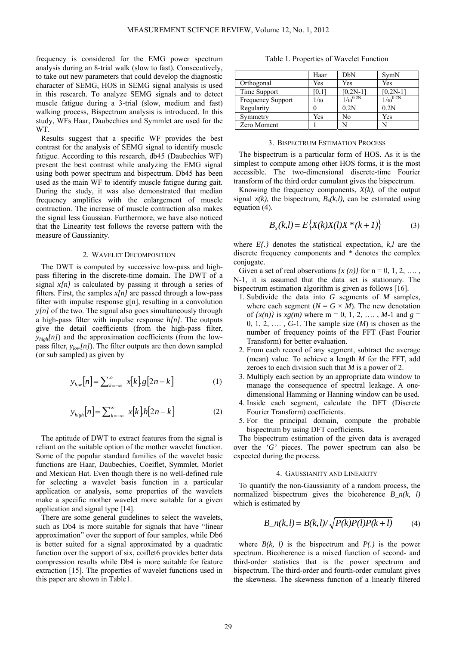frequency is considered for the EMG power spectrum analysis during an 8-trial walk (slow to fast). Consecutively, to take out new parameters that could develop the diagnostic character of SEMG, HOS in SEMG signal analysis is used in this research. To analyze SEMG signals and to detect muscle fatigue during a 3-trial (slow, medium and fast) walking process, Bispectrum analysis is introduced. In this study, WFs Haar, Daubechies and Symmlet are used for the WT.

Results suggest that a specific WF provides the best contrast for the analysis of SEMG signal to identify muscle fatigue. According to this research, db45 (Daubechies WF) present the best contrast while analyzing the EMG signal using both power spectrum and bispectrum. Db45 has been used as the main WF to identify muscle fatigue during gait. During the study, it was also demonstrated that median frequency amplifies with the enlargement of muscle contraction. The increase of muscle contraction also makes the signal less Gaussian. Furthermore, we have also noticed that the Linearity test follows the reverse pattern with the measure of Gaussianity.

### 2. WAVELET DECOMPOSITION

The DWT is computed by successive low-pass and highpass filtering in the discrete-time domain. The DWT of a signal *x[n]* is calculated by passing it through a series of filters. First, the samples  $x[n]$  are passed through a low-pass filter with impulse response g[n], resulting in a convolution *y[n]* of the two. The signal also goes simultaneously through a high-pass filter with impulse response *h[n]*. The outputs give the detail coefficients (from the high-pass filter, *y<sub>high</sub>*[*n*]) and the approximation coefficients (from the lowpass filter,  $y_{low}[n]$ . The filter outputs are then down sampled (or sub sampled) as given by

$$
y_{low}[n] = \sum_{k=-\infty}^{\infty} x[k]g[2n-k]
$$
 (1)

$$
y_{high}[n] = \sum_{k=-\infty}^{\infty} x[k]h[2n-k]
$$
 (2)

The aptitude of DWT to extract features from the signal is reliant on the suitable option of the mother wavelet function. Some of the popular standard families of the wavelet basic functions are Haar, Daubechies, Coeiflet, Symmlet, Morlet and Mexican Hat. Even though there is no well-defined rule for selecting a wavelet basis function in a particular application or analysis, some properties of the wavelets make a specific mother wavelet more suitable for a given application and signal type [14].

There are some general guidelines to select the wavelets, such as Db4 is more suitable for signals that have "linear approximation" over the support of four samples, while Db6 is better suited for a signal approximated by a quadratic function over the support of six, coiflet bprovides better data compression results while Db4 is more suitable for feature extraction [15]. The properties of wavelet functions used in this paper are shown in Table1.

| Table 1. Properties of Wavelet Function |                 |              |               |
|-----------------------------------------|-----------------|--------------|---------------|
|                                         | H <sub>22</sub> | $h_{\rm DM}$ | $\Gamma$ SymM |

|                          | Haar       | DbN               | SymN              |
|--------------------------|------------|-------------------|-------------------|
| Orthogonal               | Yes        | Yes               | Yes               |
| Time Support             | 0,1        | $[0, 2N-1]$       | $[0, 2N-1]$       |
| <b>Frequency Support</b> | $1/\omega$ | $1/\omega^{0.2N}$ | $1/\omega^{0.2N}$ |
| Regularity               |            | 0.2N              | 0.2N              |
| Symmetry                 | Yes        | No                | Yes               |
| Zero Moment              |            |                   |                   |

#### 3. BISPECTRUM ESTIMATION PROCESS

The bispectrum is a particular form of HOS. As it is the simplest to compute among other HOS forms, it is the most accessible. The two-dimensional discrete-time Fourier transform of the third order cumulant gives the bispectrum.

Knowing the frequency components,  $X(k)$ , of the output signal  $x(k)$ , the bispectrum,  $B<sub>x</sub>(k,l)$ , can be estimated using equation (4).

$$
B_x(k,l) = E\{X(k)X(l)X^*(k+1)\}
$$
 (3)

where *E{.}* denotes the statistical expectation, *k,l* are the discrete frequency components and *\** denotes the complex conjugate.

Given a set of real observations  $\{x(n)\}\$ for  $n = 0, 1, 2, \ldots$ , N-1, it is assumed that the data set is stationary. The bispectrum estimation algorithm is given as follows [16].

- 1. Subdivide the data into *G* segments of *M* samples, where each segment  $(N = G \times M)$ . The new denotation of  $\{x(n)\}\$ is  $xg(m)$  where m = 0, 1, 2, ..., M-1 and  $g =$ 0, 1, 2,  $\dots$ , *G*-1. The sample size  $(M)$  is chosen as the number of frequency points of the FFT (Fast Fourier Transform) for better evaluation.
- 2. From each record of any segment, subtract the average (mean) value. To achieve a length *M* for the FFT, add zeroes to each division such that *M* is a power of 2.
- 3. Multiply each section by an appropriate data window to manage the consequence of spectral leakage. A onedimensional Hamming or Hanning window can be used.
- 4. Inside each segment, calculate the DFT (Discrete Fourier Transform) coefficients.
- 5. For the principal domain, compute the probable bispectrum by using DFT coefficients.

The bispectrum estimation of the given data is averaged over the *'G'* pieces. The power spectrum can also be expected during the process.

## 4. GAUSSIANITY AND LINEARITY

To quantify the non-Gaussianity of a random process, the normalized bispectrum gives the bicoherence *B*  $n(k, l)$ which is estimated by

$$
B_n(k,l) = B(k,l)/\sqrt{P(k)P(l)P(k+l)}
$$
(4)

where  $B(k, l)$  is the bispectrum and  $P(l)$  is the power spectrum. Bicoherence is a mixed function of second- and third-order statistics that is the power spectrum and bispectrum. The third-order and fourth-order cumulant gives the skewness. The skewness function of a linearly filtered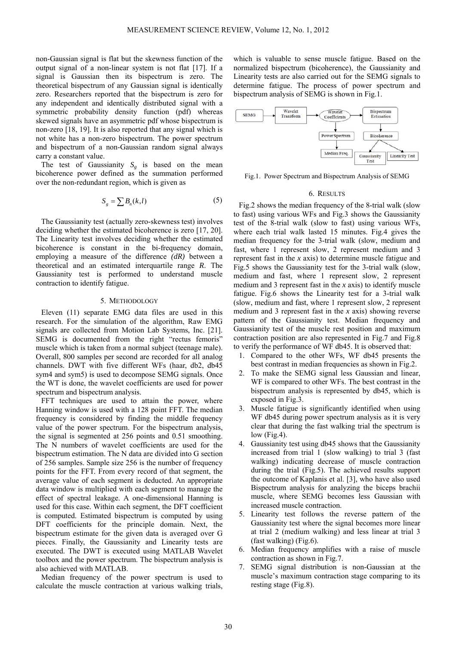non-Gaussian signal is flat but the skewness function of the output signal of a non-linear system is not flat [17]. If a signal is Gaussian then its bispectrum is zero. The theoretical bispectrum of any Gaussian signal is identically zero. Researchers reported that the bispectrum is zero for any independent and identically distributed signal with a symmetric probability density function (pdf) whereas skewed signals have an asymmetric pdf whose bispectrum is non-zero [18, 19]. It is also reported that any signal which is not white has a non-zero bispectrum. The power spectrum and bispectrum of a non-Gaussian random signal always carry a constant value.

The test of Gaussianity  $S_{\varphi}$  is based on the mean bicoherence power defined as the summation performed over the non-redundant region, which is given as

$$
S_g = \sum B_n(k, l) \tag{5}
$$

The Gaussianity test (actually zero-skewness test) involves deciding whether the estimated bicoherence is zero [17, 20]. The Linearity test involves deciding whether the estimated bicoherence is constant in the bi-frequency domain, employing a measure of the difference *(dR)* between a theoretical and an estimated interquartile range *R*. The Gaussianity test is performed to understand muscle contraction to identify fatigue.

#### 5. METHODOLOGY

Eleven (11) separate EMG data files are used in this research. For the simulation of the algorithm, Raw EMG signals are collected from Motion Lab Systems, Inc. [21]. SEMG is documented from the right "rectus femoris" muscle which is taken from a normal subject (teenage male). Overall, 800 samples per second are recorded for all analog channels. DWT with five different WFs (haar, db2, db45 sym4 and sym5) is used to decompose SEMG signals. Once the WT is done, the wavelet coefficients are used for power spectrum and bispectrum analysis.

FFT techniques are used to attain the power, where Hanning window is used with a 128 point FFT. The median frequency is considered by finding the middle frequency value of the power spectrum. For the bispectrum analysis, the signal is segmented at 256 points and 0.51 smoothing. The N numbers of wavelet coefficients are used for the bispectrum estimation. The N data are divided into G section of 256 samples. Sample size 256 is the number of frequency points for the FFT. From every record of that segment, the average value of each segment is deducted. An appropriate data window is multiplied with each segment to manage the effect of spectral leakage. A one-dimensional Hanning is used for this case. Within each segment, the DFT coefficient is computed. Estimated bispectrum is computed by using DFT coefficients for the principle domain. Next, the bispectrum estimate for the given data is averaged over G pieces. Finally, the Gaussianity and Linearity tests are executed. The DWT is executed using MATLAB Wavelet toolbox and the power spectrum. The bispectrum analysis is also achieved with MATLAB.

Median frequency of the power spectrum is used to calculate the muscle contraction at various walking trials,

which is valuable to sense muscle fatigue. Based on the normalized bispectrum (bicoherence), the Gaussianity and Linearity tests are also carried out for the SEMG signals to determine fatigue. The process of power spectrum and bispectrum analysis of SEMG is shown in Fig.1.



Fig.1. Power Spectrum and Bispectrum Analysis of SEMG

#### 6. RESULTS

Fig.2 shows the median frequency of the 8-trial walk (slow to fast) using various WFs and Fig.3 shows the Gaussianity test of the 8-trial walk (slow to fast) using various WFs, where each trial walk lasted 15 minutes. Fig.4 gives the median frequency for the 3-trial walk (slow, medium and fast, where 1 represent slow, 2 represent medium and 3 represent fast in the *x* axis) to determine muscle fatigue and Fig.5 shows the Gaussianity test for the 3-trial walk (slow, medium and fast, where 1 represent slow, 2 represent medium and 3 represent fast in the *x* axis) to identify muscle fatigue. Fig.6 shows the Linearity test for a 3-trial walk (slow, medium and fast, where 1 represent slow, 2 represent medium and 3 represent fast in the *x* axis) showing reverse pattern of the Gaussianity test. Median frequency and Gaussianity test of the muscle rest position and maximum contraction position are also represented in Fig.7 and Fig.8 to verify the performance of WF db45. It is observed that:

- 1. Compared to the other WFs, WF db45 presents the best contrast in median frequencies as shown in Fig.2.
- 2. To make the SEMG signal less Gaussian and linear, WF is compared to other WFs. The best contrast in the bispectrum analysis is represented by db45, which is exposed in Fig.3.
- 3. Muscle fatigue is significantly identified when using WF db45 during power spectrum analysis as it is very clear that during the fast walking trial the spectrum is low (Fig.4).
- 4. Gaussianity test using db45 shows that the Gaussianity increased from trial 1 (slow walking) to trial 3 (fast walking) indicating decrease of muscle contraction during the trial (Fig.5). The achieved results support the outcome of Kaplanis et al. [3], who have also used Bispectrum analysis for analyzing the biceps brachii muscle, where SEMG becomes less Gaussian with increased muscle contraction.
- 5. Linearity test follows the reverse pattern of the Gaussianity test where the signal becomes more linear at trial 2 (medium walking) and less linear at trial 3 (fast walking) (Fig.6).
- 6. Median frequency amplifies with a raise of muscle contraction as shown in Fig.7.
- 7. SEMG signal distribution is non-Gaussian at the muscle's maximum contraction stage comparing to its resting stage (Fig.8).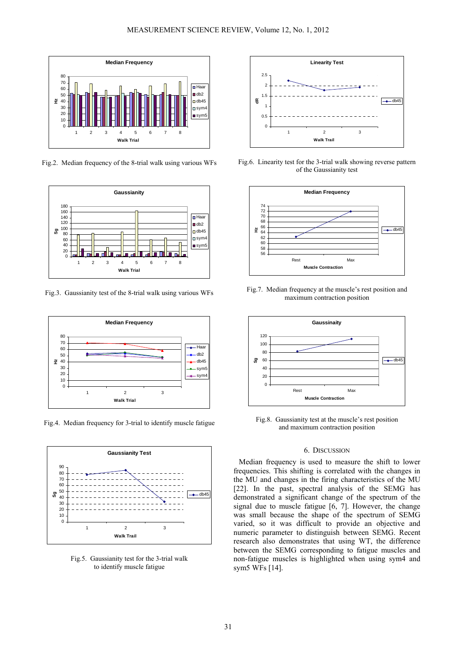

Fig.2. Median frequency of the 8-trial walk using various WFs



Fig.3. Gaussianity test of the 8-trial walk using various WFs



Fig.4. Median frequency for 3-trial to identify muscle fatigue



Fig.5. Gaussianity test for the 3-trial walk to identify muscle fatigue



Fig.6. Linearity test for the 3-trial walk showing reverse pattern of the Gaussianity test



Fig.7. Median frequency at the muscle's rest position and maximum contraction position



Fig.8. Gaussianity test at the muscle's rest position and maximum contraction position

## 6. DISCUSSION

Median frequency is used to measure the shift to lower frequencies. This shifting is correlated with the changes in the MU and changes in the firing characteristics of the MU [22]. In the past, spectral analysis of the SEMG has demonstrated a significant change of the spectrum of the signal due to muscle fatigue [6, 7]. However, the change was small because the shape of the spectrum of SEMG varied, so it was difficult to provide an objective and numeric parameter to distinguish between SEMG. Recent research also demonstrates that using WT, the difference between the SEMG corresponding to fatigue muscles and non-fatigue muscles is highlighted when using sym4 and sym5 WFs [14].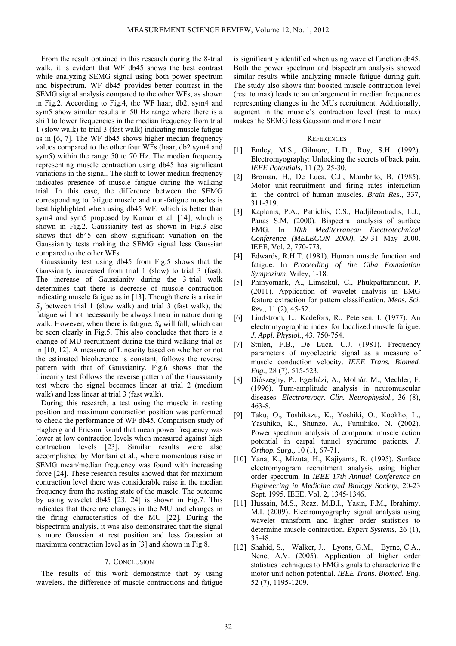From the result obtained in this research during the 8-trial walk, it is evident that WF db45 shows the best contrast while analyzing SEMG signal using both power spectrum and bispectrum. WF db45 provides better contrast in the SEMG signal analysis compared to the other WFs, as shown in Fig.2. According to Fig.4, the WF haar, db2, sym4 and sym5 show similar results in 50 Hz range where there is a shift to lower frequencies in the median frequency from trial 1 (slow walk) to trial 3 (fast walk) indicating muscle fatigue as in [6, 7]. The WF db45 shows higher median frequency values compared to the other four WFs (haar, db2 sym4 and sym5) within the range 50 to 70 Hz. The median frequency representing muscle contraction using db45 has significant variations in the signal. The shift to lower median frequency indicates presence of muscle fatigue during the walking trial. In this case, the difference between the SEMG corresponding to fatigue muscle and non-fatigue muscles is best highlighted when using db45 WF, which is better than sym4 and sym5 proposed by Kumar et al. [14], which is shown in Fig.2. Gaussianity test as shown in Fig.3 also shows that db45 can show significant variation on the Gaussianity tests making the SEMG signal less Gaussian compared to the other WFs.

Gaussianity test using db45 from Fig.5 shows that the Gaussianity increased from trial 1 (slow) to trial 3 (fast). The increase of Gaussianity during the 3-trial walk determines that there is decrease of muscle contraction indicating muscle fatigue as in [13]. Though there is a rise in  $S<sub>e</sub>$  between trial 1 (slow walk) and trial 3 (fast walk), the fatigue will not necessarily be always linear in nature during walk. However, when there is fatigue,  $S_{\ell}$  will fall, which can be seen clearly in Fig.5. This also concludes that there is a change of MU recruitment during the third walking trial as in [10, 12]. A measure of Linearity based on whether or not the estimated bicoherence is constant, follows the reverse pattern with that of Gaussianity. Fig.6 shows that the Linearity test follows the reverse pattern of the Gaussianity test where the signal becomes linear at trial 2 (medium walk) and less linear at trial 3 (fast walk).

During this research, a test using the muscle in resting position and maximum contraction position was performed to check the performance of WF db45. Comparison study of Hagberg and Ericson found that mean power frequency was lower at low contraction levels when measured against high contraction levels [23]. Similar results were also accomplished by Moritani et al., where momentous raise in SEMG mean/median frequency was found with increasing force [24]. These research results showed that for maximum contraction level there was considerable raise in the median frequency from the resting state of the muscle. The outcome by using wavelet db45 [23, 24] is shown in Fig.7. This indicates that there are changes in the MU and changes in the firing characteristics of the MU [22]. During the bispectrum analysis, it was also demonstrated that the signal is more Gaussian at rest position and less Gaussian at maximum contraction level as in [3] and shown in Fig.8.

## 7. CONCLUSION

The results of this work demonstrate that by using wavelets, the difference of muscle contractions and fatigue is significantly identified when using wavelet function db45. Both the power spectrum and bispectrum analysis showed similar results while analyzing muscle fatigue during gait. The study also shows that boosted muscle contraction level (rest to max) leads to an enlargement in median frequencies representing changes in the MUs recruitment. Additionally, augment in the muscle's contraction level (rest to max) makes the SEMG less Gaussian and more linear.

#### **REFERENCES**

- [1] Emley, M.S., Gilmore, L.D., Roy, S.H. (1992). Electromyography: Unlocking the secrets of back pain. *IEEE Potentials,* 11 (2), 25-30.
- [2] Broman, H., De Luca, C.J., Mambrito, B. (1985). Motor unit recruitment and firing rates interaction in the control of human muscles. *Brain Res*., 337, 311-319.
- [3] Kaplanis, P.A., Pattichis, C.S., Hadjileontiadis, L.J., Panas S.M. (2000). Bispectral analysis of surface EMG. In *10th Mediterranean Electrotechnical Conference (MELECON 2000)*, 29-31 May 2000. IEEE, Vol. 2, 770-773.
- [4] Edwards, R.H.T. (1981). Human muscle function and fatigue. In *Proceeding of the Ciba Foundation Sympozium*. Wiley, 1-18.
- [5] Phinyomark, A., Limsakul, C., Phukpattaranont, P. (2011). Application of wavelet analysis in EMG feature extraction for pattern classification. *Meas. Sci. Rev*., 11 (2), 45-52.
- [6] Lindstrom, L., Kadefors, R., Petersen, I. (1977). An electromyographic index for localized muscle fatigue. *J. Appl. Physiol.*, 43, 750-754.
- [7] Stulen, F.B., De Luca, C.J. (1981). Frequency parameters of myoelectric signal as a measure of muscle conduction velocity. *IEEE Trans. Biomed. Eng.,* 28 (7), 515-523.
- [8] Diószeghy, P., Egerházi, A., Molnár, M., Mechler, F. (1996). Turn-amplitude analysis in neuromuscular diseases. *Electromyogr. Clin. Neurophysiol.,* 36 (8), 463-8.
- [9] Taku, O., Toshikazu, K., Yoshiki, O., Kookho, L., Yasuhiko, K., Shunzo, A., Fumihiko, N. (2002). Power spectrum analysis of compound muscle action potential in carpal tunnel syndrome patients. *J. Orthop. Surg.,* 10 (1), 67-71.
- [10] Yana, K., Mizuta, H., Kajiyama, R. (1995). Surface electromyogram recruitment analysis using higher order spectrum. In *IEEE 17th Annual Conference on Engineering in Medicine and Biology Society*, 20-23 Sept. 1995. IEEE, Vol. 2, 1345-1346.
- [11] Hussain, M.S., Reaz, M.B.I., Yasin, F.M., Ibrahimy, M.I. (2009). Electromyography signal analysis using wavelet transform and higher order statistics to determine muscle contraction. *Expert Systems*, 26 (1), 35-48.
- [12] Shahid, S., Walker, J., Lyons, G.M., Byrne, C.A., Nene, A.V. (2005). Application of higher order statistics techniques to EMG signals to characterize the motor unit action potential. *IEEE Trans. Biomed. Eng.* 52 (7), 1195-1209.